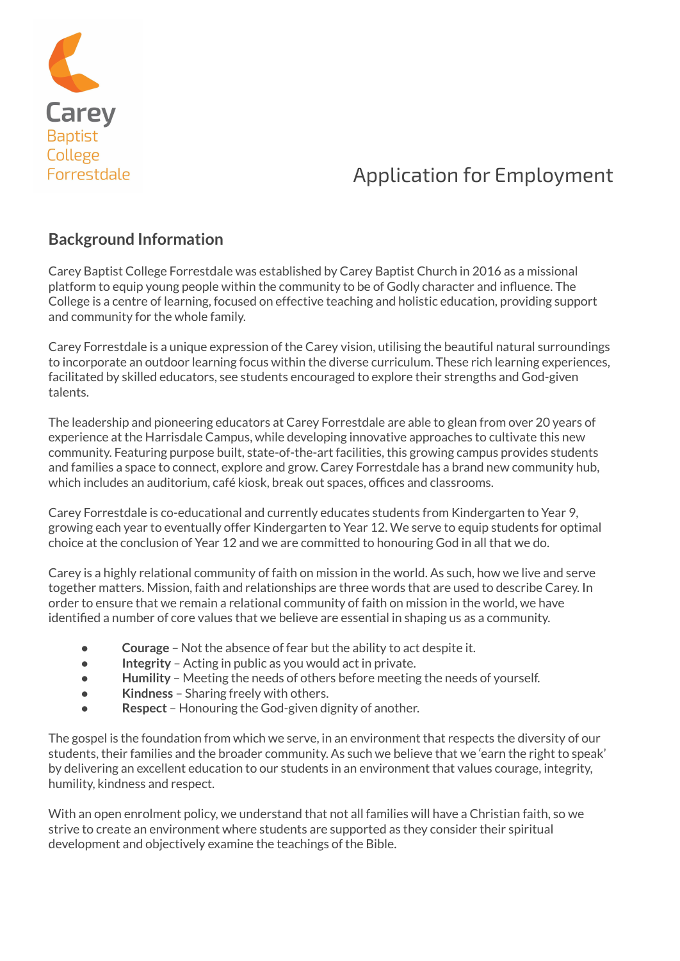

# Application for Employment

### **Background Information**

Carey Baptist College Forrestdale was established by Carey Baptist Church in 2016 as a missional platform to equip young people within the community to be of Godly character and influence. The College is a centre of learning, focused on effective teaching and holistic education, providing support and community for the whole family.

Carey Forrestdale is a unique expression of the Carey vision, utilising the beautiful natural surroundings to incorporate an outdoor learning focus within the diverse curriculum. These rich learning experiences, facilitated by skilled educators, see students encouraged to explore their strengths and God-given talents.

The leadership and pioneering educators at Carey Forrestdale are able to glean from over 20 years of experience at the Harrisdale Campus, while developing innovative approaches to cultivate this new community. Featuring purpose built, state-of-the-art facilities, this growing campus provides students and families a space to connect, explore and grow. Carey Forrestdale has a brand new community hub, which includes an auditorium, café kiosk, break out spaces, offices and classrooms.

Carey Forrestdale is co-educational and currently educates students from Kindergarten to Year 9, growing each year to eventually offer Kindergarten to Year 12. We serve to equip students for optimal choice at the conclusion of Year 12 and we are committed to honouring God in all that we do.

Carey is a highly relational community of faith on mission in the world. As such, how we live and serve together matters. Mission, faith and relationships are three words that are used to describe Carey. In order to ensure that we remain a relational community of faith on mission in the world, we have identified a number of core values that we believe are essential in shaping us as a community.

- **Courage** Not the absence of fear but the ability to act despite it.
- **Integrity** Acting in public as you would act in private.
- **Humility** Meeting the needs of others before meeting the needs of yourself.
- **Kindness** Sharing freely with others.
- **Respect** Honouring the God-given dignity of another.

The gospel is the foundation from which we serve, in an environment that respects the diversity of our students, their families and the broader community. As such we believe that we 'earn the right to speak' by delivering an excellent education to our students in an environment that values courage, integrity, humility, kindness and respect.

With an open enrolment policy, we understand that not all families will have a Christian faith, so we strive to create an environment where students are supported as they consider their spiritual development and objectively examine the teachings of the Bible.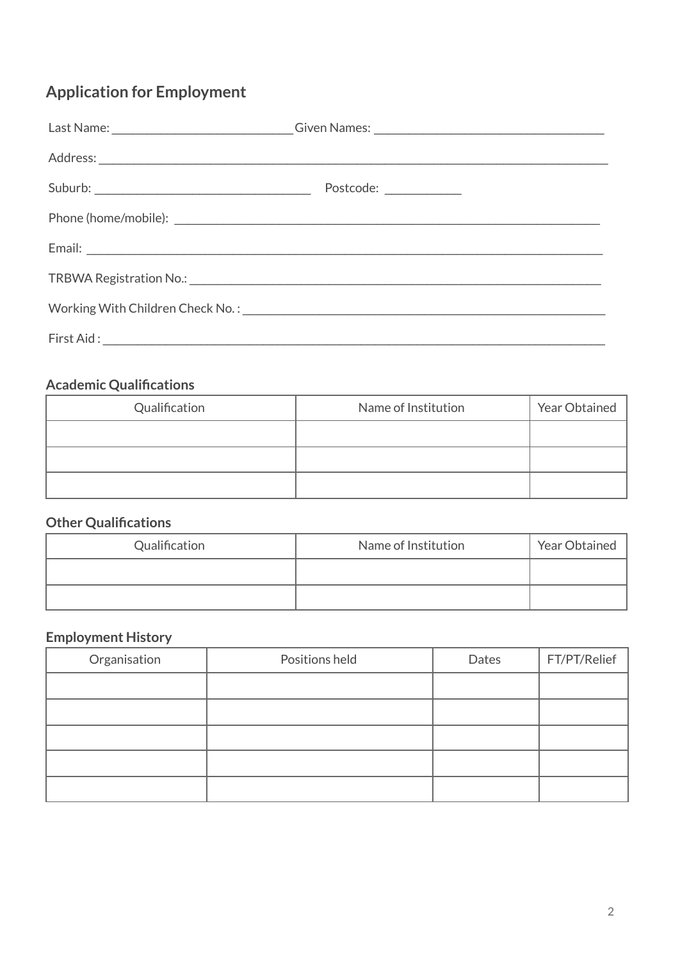## **Application for Employment**

|                                                                                 | Last Name: _____________________________Given Names: ___________________________ |
|---------------------------------------------------------------------------------|----------------------------------------------------------------------------------|
|                                                                                 |                                                                                  |
|                                                                                 | Postcode: _____________                                                          |
|                                                                                 |                                                                                  |
|                                                                                 |                                                                                  |
|                                                                                 |                                                                                  |
|                                                                                 |                                                                                  |
| First Aid:<br><u> 1990 - Johann John Stone, mars eta bainar eta erritmental</u> |                                                                                  |

## **Academic Qualifications**

| Qualification | Name of Institution | Year Obtained |
|---------------|---------------------|---------------|
|               |                     |               |
|               |                     |               |
|               |                     |               |

### **Other Qualifications**

| Qualification | Name of Institution | Year Obtained |
|---------------|---------------------|---------------|
|               |                     |               |
|               |                     |               |

## **Employment History**

| Organisation | Positions held | Dates | FT/PT/Relief |
|--------------|----------------|-------|--------------|
|              |                |       |              |
|              |                |       |              |
|              |                |       |              |
|              |                |       |              |
|              |                |       |              |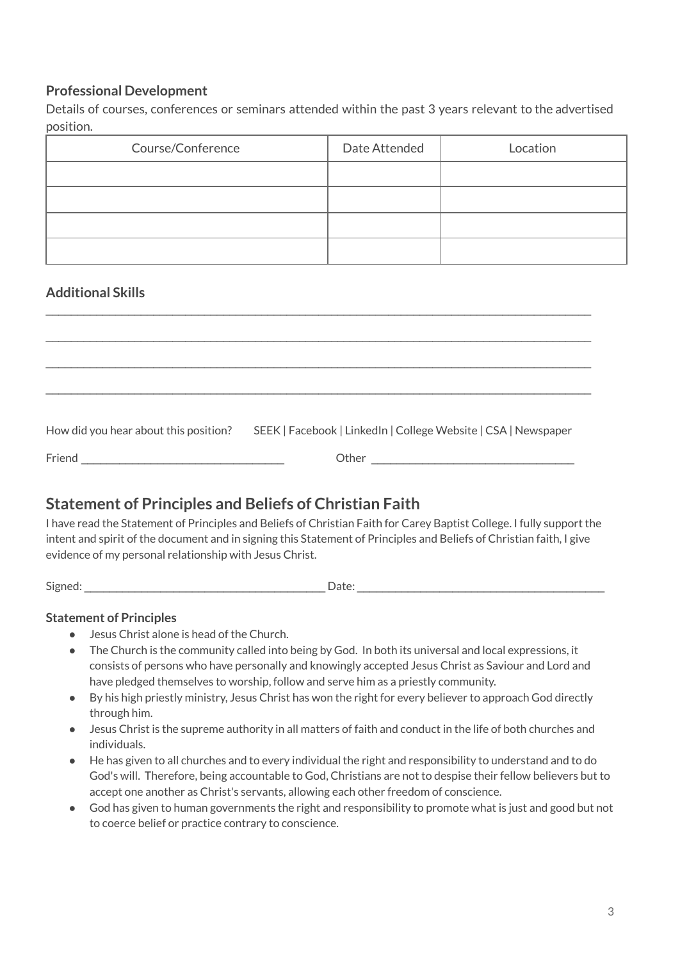#### **Professional Development**

Details of courses, conferences or seminars attended within the past 3 years relevant to the advertised position.

| Course/Conference | Date Attended | Location |
|-------------------|---------------|----------|
|                   |               |          |
|                   |               |          |
|                   |               |          |
|                   |               |          |

#### **Additional Skills**

| How did you hear about this position? | SEEK   Facebook   LinkedIn   College Website   CSA   Newspaper |
|---------------------------------------|----------------------------------------------------------------|
|                                       | Other                                                          |
|                                       |                                                                |

 $\mathcal{L}_\mathcal{L} = \{ \mathcal{L}_\mathcal{L} = \{ \mathcal{L}_\mathcal{L} = \{ \mathcal{L}_\mathcal{L} = \{ \mathcal{L}_\mathcal{L} = \{ \mathcal{L}_\mathcal{L} = \{ \mathcal{L}_\mathcal{L} = \{ \mathcal{L}_\mathcal{L} = \{ \mathcal{L}_\mathcal{L} = \{ \mathcal{L}_\mathcal{L} = \{ \mathcal{L}_\mathcal{L} = \{ \mathcal{L}_\mathcal{L} = \{ \mathcal{L}_\mathcal{L} = \{ \mathcal{L}_\mathcal{L} = \{ \mathcal{L}_\mathcal{$ 

### **Statement of Principles and Beliefs of Christian Faith**

I have read the Statement of Principles and Beliefs of Christian Faith for Carey Baptist College. I fully support the intent and spirit of the document and in signing this Statement of Principles and Beliefs of Christian faith, I give evidence of my personal relationship with Jesus Christ.

Signed: \_\_\_\_\_\_\_\_\_\_\_\_\_\_\_\_\_\_\_\_\_\_\_\_\_\_\_\_\_\_\_\_\_\_\_\_\_\_ Date: \_\_\_\_\_\_\_\_\_\_\_\_\_\_\_\_\_\_\_\_\_\_\_\_\_\_\_\_\_\_\_\_\_\_\_\_\_\_\_

#### **Statement of Principles**

- Jesus Christ alone is head of the Church.
- The Church is the community called into being by God. In both its universal and local expressions, it consists of persons who have personally and knowingly accepted Jesus Christ as Saviour and Lord and have pledged themselves to worship, follow and serve him as a priestly community.
- By his high priestly ministry, Jesus Christ has won the right for every believer to approach God directly through him.
- Jesus Christ is the supreme authority in all matters of faith and conduct in the life of both churches and individuals.
- He has given to all churches and to every individual the right and responsibility to understand and to do God's will. Therefore, being accountable to God, Christians are not to despise their fellow believers but to accept one another as Christ's servants, allowing each other freedom of conscience.
- God has given to human governments the right and responsibility to promote what is just and good but not to coerce belief or practice contrary to conscience.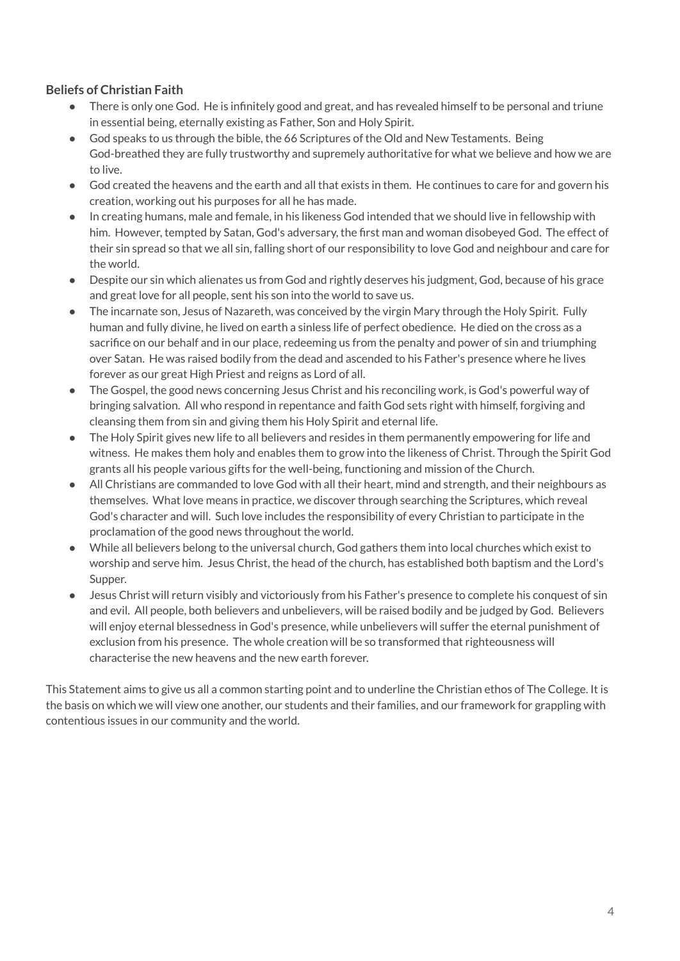#### **Beliefs of Christian Faith**

- There is only one God. He is infinitely good and great, and has revealed himself to be personal and triune in essential being, eternally existing as Father, Son and Holy Spirit.
- God speaks to us through the bible, the 66 Scriptures of the Old and New Testaments. Being God-breathed they are fully trustworthy and supremely authoritative for what we believe and how we are to live.
- God created the heavens and the earth and all that exists in them. He continues to care for and govern his creation, working out his purposes for all he has made.
- In creating humans, male and female, in his likeness God intended that we should live in fellowship with him. However, tempted by Satan, God's adversary, the first man and woman disobeyed God. The effect of their sin spread so that we all sin, falling short of our responsibility to love God and neighbour and care for the world.
- Despite our sin which alienates us from God and rightly deserves his judgment, God, because of his grace and great love for all people, sent his son into the world to save us.
- The incarnate son, Jesus of Nazareth, was conceived by the virgin Mary through the Holy Spirit. Fully human and fully divine, he lived on earth a sinless life of perfect obedience. He died on the cross as a sacrifice on our behalf and in our place, redeeming us from the penalty and power of sin and triumphing over Satan. He was raised bodily from the dead and ascended to his Father's presence where he lives forever as our great High Priest and reigns as Lord of all.
- The Gospel, the good news concerning Jesus Christ and his reconciling work, is God's powerful way of bringing salvation. All who respond in repentance and faith God sets right with himself, forgiving and cleansing them from sin and giving them his Holy Spirit and eternal life.
- The Holy Spirit gives new life to all believers and resides in them permanently empowering for life and witness. He makes them holy and enables them to grow into the likeness of Christ. Through the Spirit God grants all his people various gifts for the well-being, functioning and mission of the Church.
- All Christians are commanded to love God with all their heart, mind and strength, and their neighbours as themselves. What love means in practice, we discover through searching the Scriptures, which reveal God's character and will. Such love includes the responsibility of every Christian to participate in the proclamation of the good news throughout the world.
- While all believers belong to the universal church, God gathers them into local churches which exist to worship and serve him. Jesus Christ, the head of the church, has established both baptism and the Lord's Supper.
- Jesus Christ will return visibly and victoriously from his Father's presence to complete his conquest of sin and evil. All people, both believers and unbelievers, will be raised bodily and be judged by God. Believers will enjoy eternal blessedness in God's presence, while unbelievers will suffer the eternal punishment of exclusion from his presence. The whole creation will be so transformed that righteousness will characterise the new heavens and the new earth forever.

This Statement aims to give us all a common starting point and to underline the Christian ethos of The College. It is the basis on which we will view one another, our students and their families, and our framework for grappling with contentious issues in our community and the world.